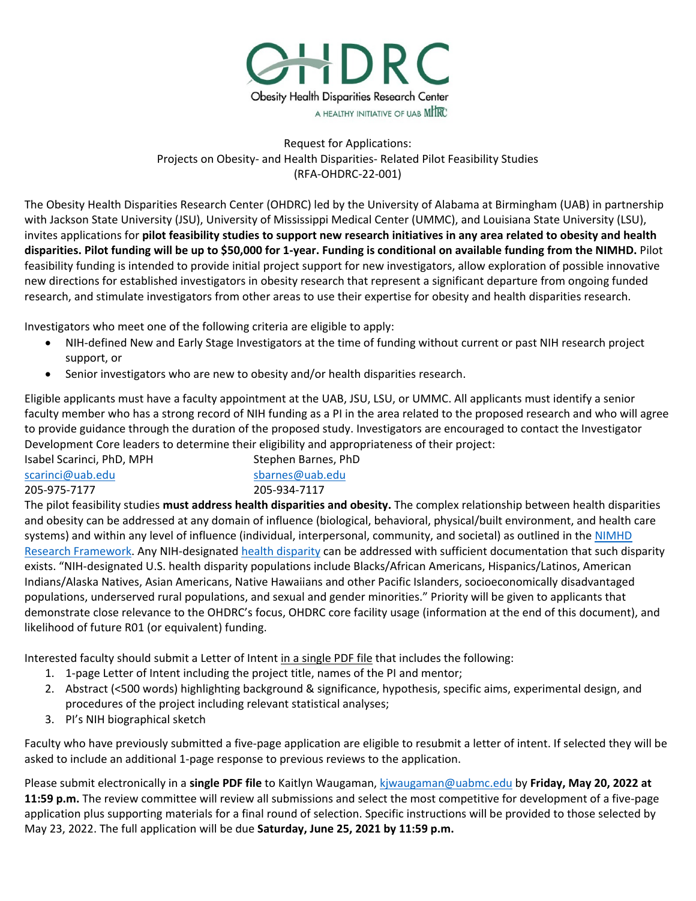

# Request for Applications: Projects on Obesity- and Health Disparities- Related Pilot Feasibility Studies (RFA-OHDRC-22-001)

The Obesity Health Disparities Research Center (OHDRC) led by the University of Alabama at Birmingham (UAB) in partnership with Jackson State University (JSU), University of Mississippi Medical Center (UMMC), and Louisiana State University (LSU), invites applications for **pilot feasibility studies to support new research initiatives in any area related to obesity and health disparities. Pilot funding will be up to \$50,000 for 1-year. Funding is conditional on available funding from the NIMHD.** Pilot feasibility funding is intended to provide initial project support for new investigators, allow exploration of possible innovative new directions for established investigators in obesity research that represent a significant departure from ongoing funded research, and stimulate investigators from other areas to use their expertise for obesity and health disparities research.

Investigators who meet one of the following criteria are eligible to apply:

- NIH-defined New and Early Stage Investigators at the time of funding without current or past NIH research project support, or
- Senior investigators who are new to obesity and/or health disparities research.

Eligible applicants must have a faculty appointment at the UAB, JSU, LSU, or UMMC. All applicants must identify a senior faculty member who has a strong record of NIH funding as a PI in the area related to the proposed research and who will agree to provide guidance through the duration of the proposed study. Investigators are encouraged to contact the Investigator Development Core leaders to determine their eligibility and appropriateness of their project:

Isabel Scarinci, PhD, MPH [scarinci@uab.edu](mailto:scarinci@uab.edu) 205-975-7177 Stephen Barnes, PhD [sbarnes@uab.edu](mailto:sbarnes@uab.edu) 205-934-7117

The pilot feasibility studies **must address health disparities and obesity.** The complex relationship between health disparities and obesity can be addressed at any domain of influence (biological, behavioral, physical/built environment, and health care systems) and within any level of influence (individual, interpersonal, community, and societal) as outlined in the NIMHD [Research Framework.](https://www.nimhd.nih.gov/about/overview/research-framework/) Any NIH-designated [health disparity](https://www.nimhd.nih.gov/about/overview/) can be addressed with sufficient documentation that such disparity exists. "NIH-designated U.S. health disparity populations include Blacks/African Americans, Hispanics/Latinos, American Indians/Alaska Natives, Asian Americans, Native Hawaiians and other Pacific Islanders, socioeconomically disadvantaged populations, underserved rural populations, and sexual and gender minorities." Priority will be given to applicants that demonstrate close relevance to the OHDRC's focus, OHDRC core facility usage (information at the end of this document), and likelihood of future R01 (or equivalent) funding.

Interested faculty should submit a Letter of Intent in a single PDF file that includes the following:

- 1. 1-page Letter of Intent including the project title, names of the PI and mentor;
- 2. Abstract (<500 words) highlighting background & significance, hypothesis, specific aims, experimental design, and procedures of the project including relevant statistical analyses;
- 3. PI's NIH biographical sketch

Faculty who have previously submitted a five-page application are eligible to resubmit a letter of intent. If selected they will be asked to include an additional 1-page response to previous reviews to the application.

Please submit electronically in a **single PDF file** to Kaitlyn Waugaman, [kjwaugaman@uabmc.edu](mailto:kjwaugaman@uabmc.edu) by **Friday, May 20, 2022 at 11:59 p.m.** The review committee will review all submissions and select the most competitive for development of a five-page application plus supporting materials for a final round of selection. Specific instructions will be provided to those selected by May 23, 2022. The full application will be due **Saturday, June 25, 2021 by 11:59 p.m.**